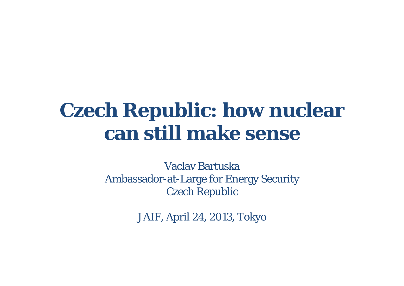#### **Czech Republic: how nuclear can still make sense**

Vaclav BartuskaAmbassador-at-Large for Energy Security Czech Republic

JAIF, April 24, 2013, Tokyo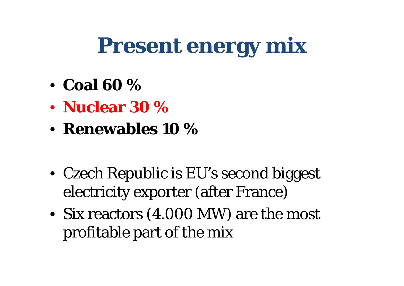## **Present energy mix**

- **Coal 60 %**
- **Nuclear 30 %**
- **Renewables 10 %**
- Czech Republic is EU's second biggest electricity exporter (after France)
- Six reactors (4.000 MW) are the most profitable part of the mix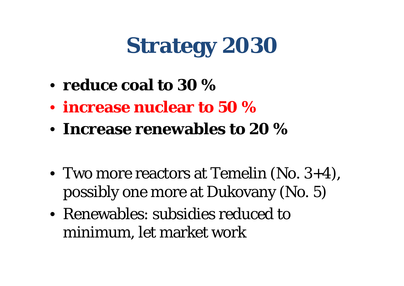# **Strategy 2030**

- **reduce coal to 30 %**
- **increase nuclear to 50 %**
- **Increase renewables to 20 %**
- Two more reactors at Temelin (No. 3+4), possibly one more at Dukovany (No. 5)
- Renewables: subsidies reduced to minimum, let market work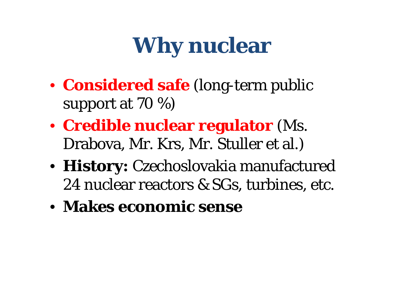# **Why nuclear**

- **Considered safe** (long-term public support at 70 %)
- **Credible nuclear regulator** (Ms. Drabova, Mr. Krs, Mr. Stuller et al.)
- **History:** Czechoslovakia manufactured 24 nuclear reactors & SGs, turbines, etc.
- **Makes economic sense**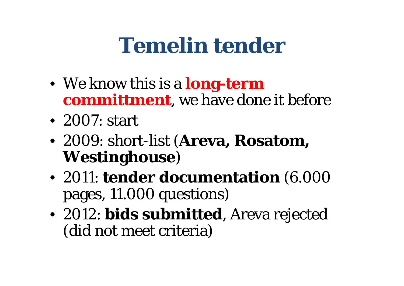## **Temelin tender**

- We know this is a **long-term committment**, we have done it before
- 2007: start
- 2009: short-list (**Areva, Rosatom, Westinghouse** )
- 2011: **tender documentation** (6.000 pages, 11.000 questions)
- 2012: **bids submitted**, Areva rejected (did not meet criteria)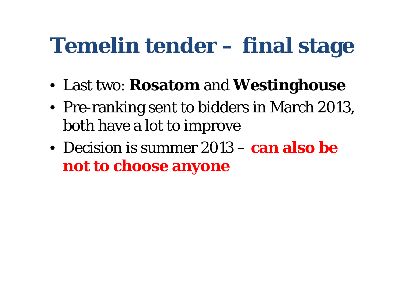## **Temelin tender – final stage**

- Last two: **Rosatom** and **Westinghouse**
- Pre-ranking sent to bidders in March 2013, both have a lot to improve
- Decision is summer 2013 **can also be not to choose anyone**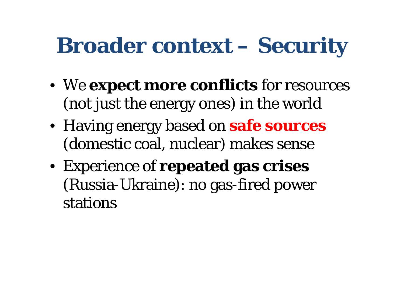## **Broader context – Security**

- We **expect more conflicts** for resources (not just the energy ones) in the world
- Having energy based on **safe sources**  (domestic coal, nuclear) makes sense
- Experience of **repeated gas crises**  (Russia-Ukraine): no gas-fired power stations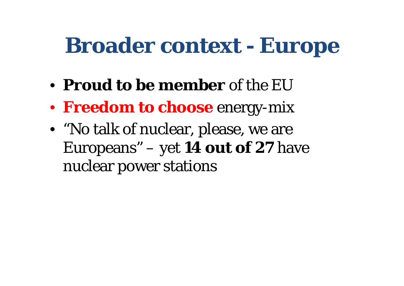#### **Broader context - Europe**

- **Proud to be member** of the EU
- **Freedom to choose** energy-mix
- "No talk of nuclear, please, we are Europeans" – yet **14 out of 27** have nuclear power stations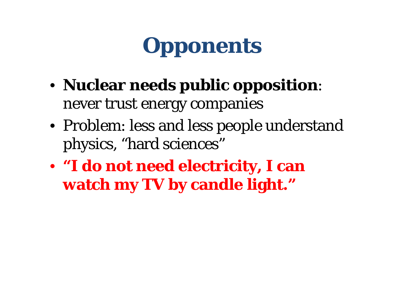# **Opponents**

- **Nuclear needs public opposition**: never trust energy companies
- Problem: less and less people understand physics, "hard sciences"
- **"I do not need electricity, I can watch my TV by candle light."**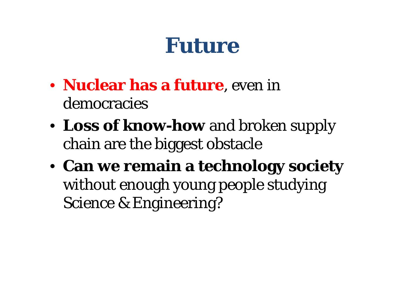#### **Future**

- **Nuclear has a future**, even in democracies
- **Loss of know-how** and broken supply chain are the biggest obstacle
- **Can we remain a technology society**  without enough young people studying Science & Engineering?